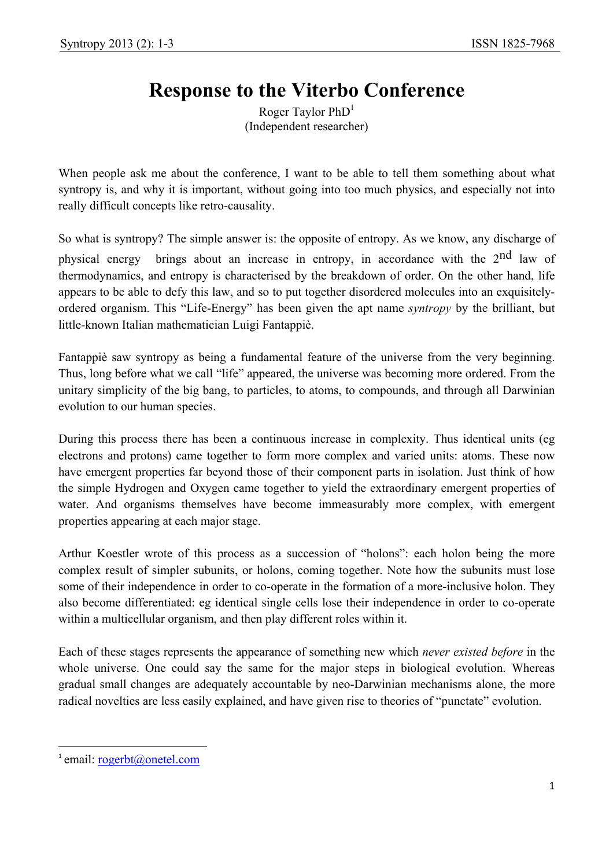## **Response to the Viterbo Conference**

Roger Taylor  $PhD<sup>1</sup>$ (Independent researcher)

When people ask me about the conference, I want to be able to tell them something about what syntropy is, and why it is important, without going into too much physics, and especially not into really difficult concepts like retro-causality.

So what is syntropy? The simple answer is: the opposite of entropy. As we know, any discharge of physical energy brings about an increase in entropy, in accordance with the 2<sup>nd</sup> law of thermodynamics, and entropy is characterised by the breakdown of order. On the other hand, life appears to be able to defy this law, and so to put together disordered molecules into an exquisitelyordered organism. This "Life-Energy" has been given the apt name *syntropy* by the brilliant, but little-known Italian mathematician Luigi Fantappiè.

Fantappiè saw syntropy as being a fundamental feature of the universe from the very beginning. Thus, long before what we call "life" appeared, the universe was becoming more ordered. From the unitary simplicity of the big bang, to particles, to atoms, to compounds, and through all Darwinian evolution to our human species.

During this process there has been a continuous increase in complexity. Thus identical units (eg electrons and protons) came together to form more complex and varied units: atoms. These now have emergent properties far beyond those of their component parts in isolation. Just think of how the simple Hydrogen and Oxygen came together to yield the extraordinary emergent properties of water. And organisms themselves have become immeasurably more complex, with emergent properties appearing at each major stage.

Arthur Koestler wrote of this process as a succession of "holons": each holon being the more complex result of simpler subunits, or holons, coming together. Note how the subunits must lose some of their independence in order to co-operate in the formation of a more-inclusive holon. They also become differentiated: eg identical single cells lose their independence in order to co-operate within a multicellular organism, and then play different roles within it.

Each of these stages represents the appearance of something new which *never existed before* in the whole universe. One could say the same for the major steps in biological evolution. Whereas gradual small changes are adequately accountable by neo-Darwinian mechanisms alone, the more radical novelties are less easily explained, and have given rise to theories of "punctate" evolution.

 $\overline{\phantom{a}}$ 

 $^1$  email: rogerbt@onetel.com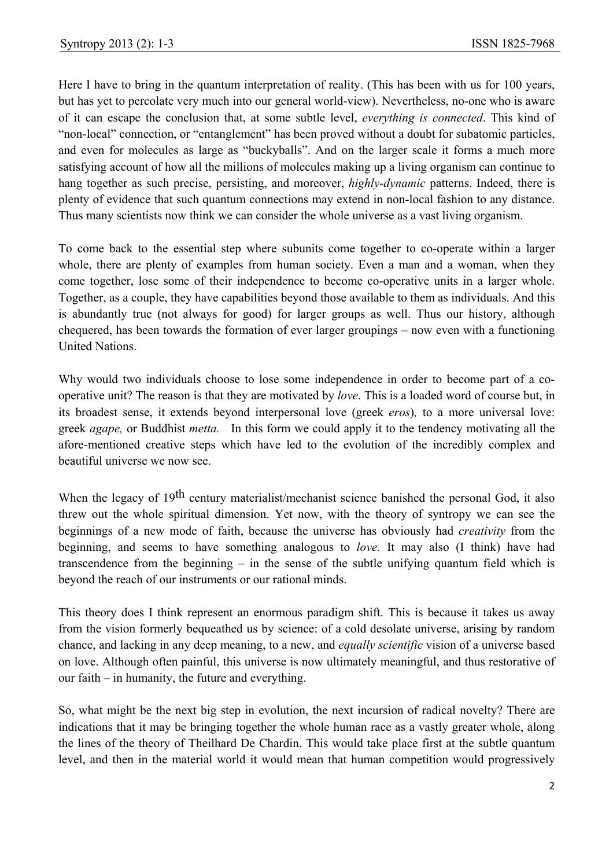Here I have to bring in the quantum interpretation of reality. (This has been with us for 100 years, but has yet to percolate very much into our general world-view). Nevertheless, no-one who is aware of it can escape the conclusion that, at some subtle level, *everything is connected*. This kind of "non-local" connection, or "entanglement" has been proved without a doubt for subatomic particles, and even for molecules as large as "buckyballs". And on the larger scale it forms a much more satisfying account of how all the millions of molecules making up a living organism can continue to hang together as such precise, persisting, and moreover, *highly-dynamic* patterns. Indeed, there is plenty of evidence that such quantum connections may extend in non-local fashion to any distance. Thus many scientists now think we can consider the whole universe as a vast living organism.

To come back to the essential step where subunits come together to co-operate within a larger whole, there are plenty of examples from human society. Even a man and a woman, when they come together, lose some of their independence to become co-operative units in a larger whole. Together, as a couple, they have capabilities beyond those available to them as individuals. And this is abundantly true (not always for good) for larger groups as well. Thus our history, although chequered, has been towards the formation of ever larger groupings – now even with a functioning United Nations.

Why would two individuals choose to lose some independence in order to become part of a cooperative unit? The reason is that they are motivated by *love*. This is a loaded word of course but, in its broadest sense, it extends beyond interpersonal love (greek *eros*)*,* to a more universal love: greek *agape,* or Buddhist *metta.* In this form we could apply it to the tendency motivating all the afore-mentioned creative steps which have led to the evolution of the incredibly complex and beautiful universe we now see.

When the legacy of 19<sup>th</sup> century materialist/mechanist science banished the personal God, it also threw out the whole spiritual dimension. Yet now, with the theory of syntropy we can see the beginnings of a new mode of faith, because the universe has obviously had *creativity* from the beginning, and seems to have something analogous to *love.* It may also (I think) have had transcendence from the beginning – in the sense of the subtle unifying quantum field which is beyond the reach of our instruments or our rational minds.

This theory does I think represent an enormous paradigm shift. This is because it takes us away from the vision formerly bequeathed us by science: of a cold desolate universe, arising by random chance, and lacking in any deep meaning, to a new, and *equally scientific* vision of a universe based on love. Although often painful, this universe is now ultimately meaningful, and thus restorative of our faith – in humanity, the future and everything.

So, what might be the next big step in evolution, the next incursion of radical novelty? There are indications that it may be bringing together the whole human race as a vastly greater whole, along the lines of the theory of Theilhard De Chardin. This would take place first at the subtle quantum level, and then in the material world it would mean that human competition would progressively